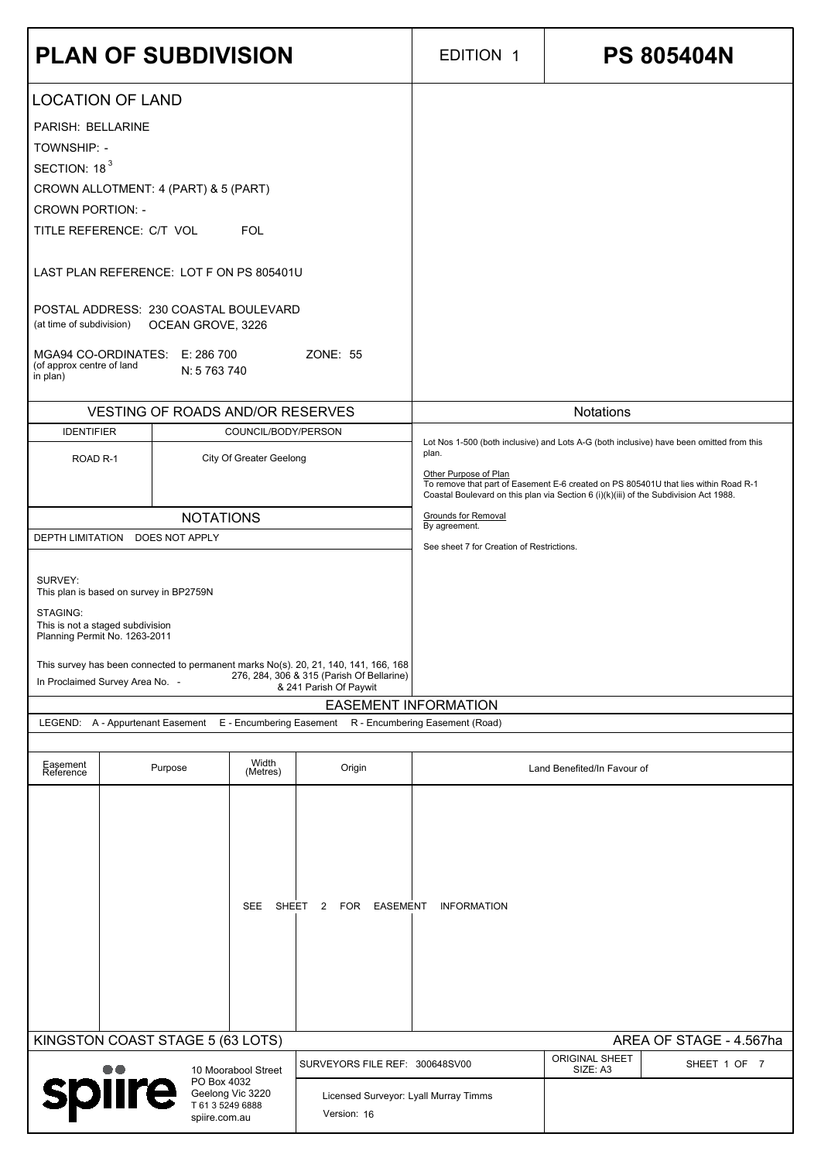| <b>PLAN OF SUBDIVISION</b>                                                                                                                                                                                                                                                                                                                                                                                   |                                         |                                |                                                                                                                                                            | <b>EDITION 1</b>                                                                                                                                                                                                                                                                                                                  | <b>PS 805404N</b>           |  |
|--------------------------------------------------------------------------------------------------------------------------------------------------------------------------------------------------------------------------------------------------------------------------------------------------------------------------------------------------------------------------------------------------------------|-----------------------------------------|--------------------------------|------------------------------------------------------------------------------------------------------------------------------------------------------------|-----------------------------------------------------------------------------------------------------------------------------------------------------------------------------------------------------------------------------------------------------------------------------------------------------------------------------------|-----------------------------|--|
| <b>LOCATION OF LAND</b><br>PARISH: BELLARINE<br><b>TOWNSHIP: -</b><br>SECTION: 18 <sup>3</sup><br>CROWN ALLOTMENT: 4 (PART) & 5 (PART)<br><b>CROWN PORTION: -</b><br>TITLE REFERENCE: C/T VOL<br>LAST PLAN REFERENCE: LOT F ON PS 805401U<br>POSTAL ADDRESS: 230 COASTAL BOULEVARD<br>(at time of subdivision)  OCEAN GROVE, 3226<br>MGA94 CO-ORDINATES: E: 286 700<br>(of approx centre of land<br>in plan) | N: 5 763 740                            | <b>FOL</b>                     | ZONE: 55                                                                                                                                                   |                                                                                                                                                                                                                                                                                                                                   |                             |  |
|                                                                                                                                                                                                                                                                                                                                                                                                              | <b>VESTING OF ROADS AND/OR RESERVES</b> |                                |                                                                                                                                                            | <b>Notations</b>                                                                                                                                                                                                                                                                                                                  |                             |  |
| <b>IDENTIFIER</b>                                                                                                                                                                                                                                                                                                                                                                                            |                                         | COUNCIL/BODY/PERSON            |                                                                                                                                                            | Lot Nos 1-500 (both inclusive) and Lots A-G (both inclusive) have been omitted from this<br>plan.<br>Other Purpose of Plan<br>To remove that part of Easement E-6 created on PS 805401U that lies within Road R-1<br>Coastal Boulevard on this plan via Section 6 (i)(k)(iii) of the Subdivision Act 1988.<br>Grounds for Removal |                             |  |
| ROAD <sub>R-1</sub>                                                                                                                                                                                                                                                                                                                                                                                          |                                         | <b>City Of Greater Geelong</b> |                                                                                                                                                            |                                                                                                                                                                                                                                                                                                                                   |                             |  |
|                                                                                                                                                                                                                                                                                                                                                                                                              | <b>NOTATIONS</b>                        |                                |                                                                                                                                                            |                                                                                                                                                                                                                                                                                                                                   |                             |  |
| DEPTH LIMITATION DOES NOT APPLY                                                                                                                                                                                                                                                                                                                                                                              |                                         |                                |                                                                                                                                                            | By agreement.<br>See sheet 7 for Creation of Restrictions.                                                                                                                                                                                                                                                                        |                             |  |
| SURVEY:<br>This plan is based on survey in BP2759N<br>STAGING:<br>This is not a staged subdivision                                                                                                                                                                                                                                                                                                           |                                         |                                |                                                                                                                                                            |                                                                                                                                                                                                                                                                                                                                   |                             |  |
| Planning Permit No. 1263-2011<br>In Proclaimed Survey Area No. -                                                                                                                                                                                                                                                                                                                                             |                                         |                                | This survey has been connected to permanent marks No(s). 20, 21, 140, 141, 166, 168<br>276, 284, 306 & 315 (Parish Of Bellarine)<br>& 241 Parish Of Paywit |                                                                                                                                                                                                                                                                                                                                   |                             |  |
|                                                                                                                                                                                                                                                                                                                                                                                                              |                                         |                                |                                                                                                                                                            | <b>EASEMENT INFORMATION</b>                                                                                                                                                                                                                                                                                                       |                             |  |
|                                                                                                                                                                                                                                                                                                                                                                                                              |                                         |                                | LEGEND: A - Appurtenant Easement E - Encumbering Easement R - Encumbering Easement (Road)                                                                  |                                                                                                                                                                                                                                                                                                                                   |                             |  |
| Easement<br>Reference                                                                                                                                                                                                                                                                                                                                                                                        | Purpose                                 | Width<br>(Metres)              | Origin                                                                                                                                                     |                                                                                                                                                                                                                                                                                                                                   | Land Benefited/In Favour of |  |
|                                                                                                                                                                                                                                                                                                                                                                                                              |                                         |                                |                                                                                                                                                            |                                                                                                                                                                                                                                                                                                                                   |                             |  |

|                                                                                | <b>SEE</b><br>SHEET | EASEMENT<br>2 FOR                                    | <b>INFORMATION</b> |                                   |              |
|--------------------------------------------------------------------------------|---------------------|------------------------------------------------------|--------------------|-----------------------------------|--------------|
| KINGSTON COAST STAGE 5 (63 LOTS)<br>AREA OF STAGE - 4.567ha                    |                     |                                                      |                    |                                   |              |
| $\bullet\bullet$                                                               | 10 Moorabool Street | SURVEYORS FILE REF: 300648SV00                       |                    | <b>ORIGINAL SHEET</b><br>SIZE: A3 | SHEET 1 OF 7 |
| PO Box 4032<br>spiire<br>Geelong Vic 3220<br>T 61 3 5249 6888<br>spiire.com.au |                     | Licensed Surveyor: Lyall Murray Timms<br>Version: 16 |                    |                                   |              |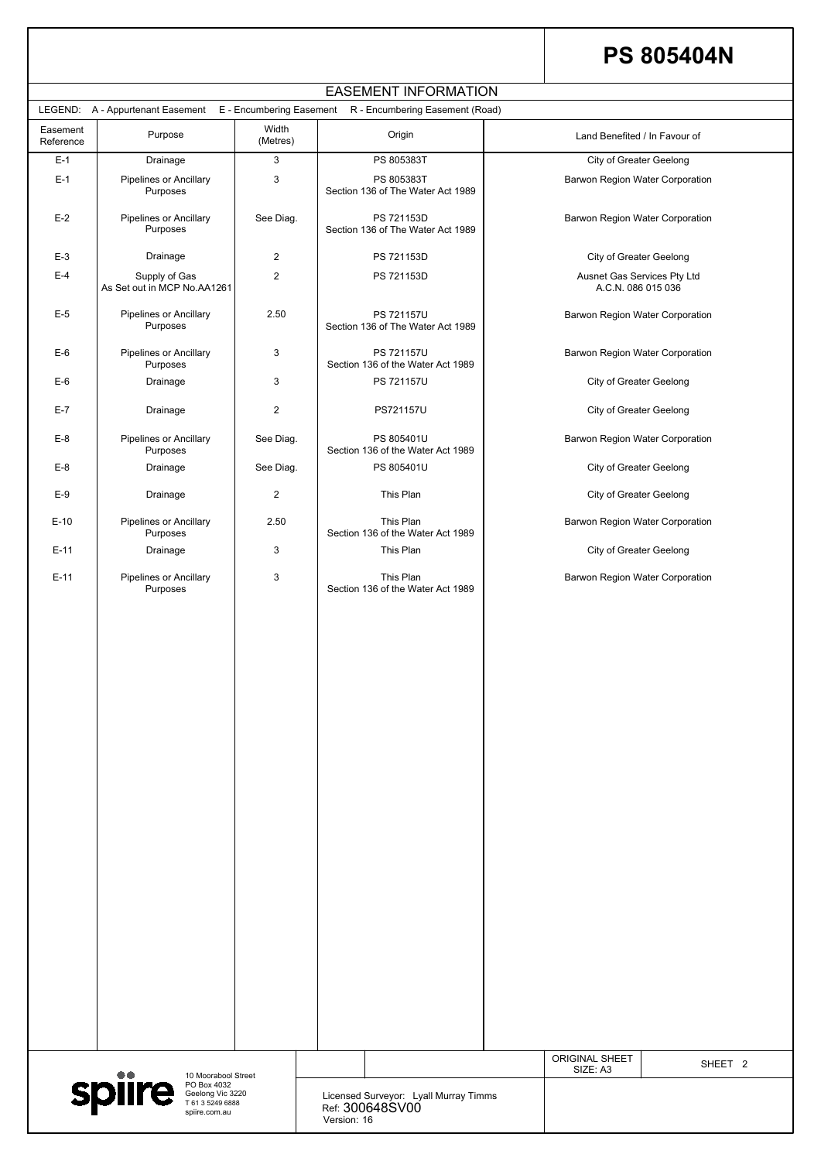|                                                                                                                           |             |                                                          | <b>ORIGINAL SHEET</b><br>SIZE: A3 | SHEET <sub>2</sub> |
|---------------------------------------------------------------------------------------------------------------------------|-------------|----------------------------------------------------------|-----------------------------------|--------------------|
| $\bullet\bullet$<br>10 Moorabool Street<br>spiire<br>PO Box 4032<br>Geelong Vic 3220<br>T 61 3 5249 6888<br>spiire.com.au | Version: 16 | Licensed Surveyor: Lyall Murray Timms<br>Ref: 300648SV00 |                                   |                    |

# **PS 805404N**

| <b>EASEMENT INFORMATION</b>                                                               |                                              |                   |                                                 |                                                   |  |  |  |  |
|-------------------------------------------------------------------------------------------|----------------------------------------------|-------------------|-------------------------------------------------|---------------------------------------------------|--|--|--|--|
| LEGEND: A - Appurtenant Easement E - Encumbering Easement R - Encumbering Easement (Road) |                                              |                   |                                                 |                                                   |  |  |  |  |
| Easement<br>Reference                                                                     | Purpose                                      | Width<br>(Metres) | Origin                                          | Land Benefited / In Favour of                     |  |  |  |  |
| $E-1$                                                                                     | Drainage                                     | 3                 | PS 805383T                                      | <b>City of Greater Geelong</b>                    |  |  |  |  |
| $E-1$                                                                                     | <b>Pipelines or Ancillary</b><br>Purposes    | 3                 | PS 805383T<br>Section 136 of The Water Act 1989 | <b>Barwon Region Water Corporation</b>            |  |  |  |  |
| $E-2$                                                                                     | <b>Pipelines or Ancillary</b><br>Purposes    | See Diag.         | PS 721153D<br>Section 136 of The Water Act 1989 | <b>Barwon Region Water Corporation</b>            |  |  |  |  |
| $E-3$                                                                                     | Drainage                                     | $\overline{2}$    | PS 721153D                                      | <b>City of Greater Geelong</b>                    |  |  |  |  |
| $E-4$                                                                                     | Supply of Gas<br>As Set out in MCP No.AA1261 | $\overline{2}$    | PS 721153D                                      | Ausnet Gas Services Pty Ltd<br>A.C.N. 086 015 036 |  |  |  |  |
| $E-5$                                                                                     | <b>Pipelines or Ancillary</b><br>Purposes    | 2.50              | PS 721157U<br>Section 136 of The Water Act 1989 | <b>Barwon Region Water Corporation</b>            |  |  |  |  |
| $E-6$                                                                                     | <b>Pipelines or Ancillary</b><br>Purposes    | 3                 | PS 721157U<br>Section 136 of the Water Act 1989 | <b>Barwon Region Water Corporation</b>            |  |  |  |  |
| $E-6$                                                                                     | Drainage                                     | 3                 | PS 721157U                                      | <b>City of Greater Geelong</b>                    |  |  |  |  |
| $E-7$                                                                                     | Drainage                                     | $\overline{2}$    | PS721157U                                       | <b>City of Greater Geelong</b>                    |  |  |  |  |
| $E-8$                                                                                     | <b>Pipelines or Ancillary</b><br>Purposes    | See Diag.         | PS 805401U<br>Section 136 of the Water Act 1989 | <b>Barwon Region Water Corporation</b>            |  |  |  |  |
| $E-8$                                                                                     | Drainage                                     | See Diag.         | PS 805401U                                      | <b>City of Greater Geelong</b>                    |  |  |  |  |
| $E-9$                                                                                     | Drainage                                     | $\overline{2}$    | This Plan                                       | <b>City of Greater Geelong</b>                    |  |  |  |  |
| $E-10$                                                                                    | <b>Pipelines or Ancillary</b><br>Purposes    | 2.50              | This Plan<br>Section 136 of the Water Act 1989  | <b>Barwon Region Water Corporation</b>            |  |  |  |  |
| $E-11$                                                                                    | Drainage                                     | 3                 | This Plan                                       | <b>City of Greater Geelong</b>                    |  |  |  |  |
| $E-11$                                                                                    | Pipelines or Ancillary<br>Purposes           | 3                 | This Plan<br>Section 136 of the Water Act 1989  | <b>Barwon Region Water Corporation</b>            |  |  |  |  |
|                                                                                           |                                              |                   |                                                 |                                                   |  |  |  |  |
|                                                                                           |                                              |                   |                                                 |                                                   |  |  |  |  |
|                                                                                           |                                              |                   |                                                 |                                                   |  |  |  |  |
|                                                                                           |                                              |                   |                                                 |                                                   |  |  |  |  |
|                                                                                           |                                              |                   |                                                 |                                                   |  |  |  |  |
|                                                                                           |                                              |                   |                                                 |                                                   |  |  |  |  |
|                                                                                           |                                              |                   |                                                 |                                                   |  |  |  |  |
|                                                                                           |                                              |                   |                                                 |                                                   |  |  |  |  |
|                                                                                           |                                              |                   |                                                 |                                                   |  |  |  |  |
|                                                                                           |                                              |                   |                                                 |                                                   |  |  |  |  |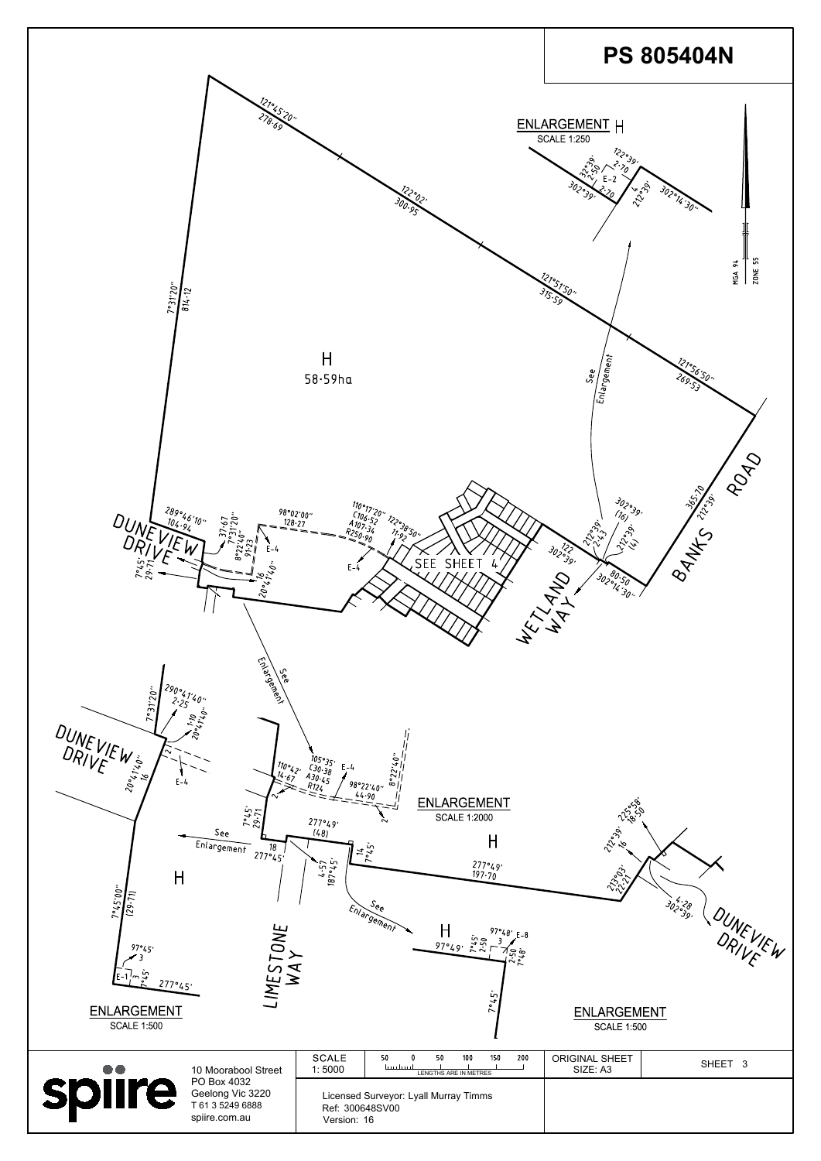| $\mathbf{I}$<br>$7^{\circ}45'00''$<br>(29.71)<br>97°45'<br>$\sim$ 7.<br>E-1<br>277°45'<br><b>ENLARGEMENT</b><br><b>SCALE 1:500</b> | LIMESTONE<br>WAY                                                     | $\boldsymbol{\beta}$                                                    | $\mathcal{S}_{\mathcal{C}_{\mathcal{C}}}$<br>Enlargement<br>H<br>$97°48'$ $E-8$<br>$\frac{1}{97\cdot 49}$ , $\frac{1}{2}\frac{5}{12}$<br>ھ ج<br>Ln. | $\langle \mathcal{Z}, \mathcal{Y} \rangle$<br><b>ENLARGEMENT</b><br><b>SCALE 1:500</b> | 302°28.<br>92°29.  |
|------------------------------------------------------------------------------------------------------------------------------------|----------------------------------------------------------------------|-------------------------------------------------------------------------|-----------------------------------------------------------------------------------------------------------------------------------------------------|----------------------------------------------------------------------------------------|--------------------|
|                                                                                                                                    | 10 Moorabool Street                                                  | <b>SCALE</b><br>1:5000                                                  | 50<br>50<br>150<br>200<br>100<br>سلسينا<br>LENGTHS ARE IN METRES                                                                                    | <b>ORIGINAL SHEET</b><br>SIZE: A3                                                      | SHEET <sub>3</sub> |
| <b>spiire</b>                                                                                                                      | PO Box 4032<br>Geelong Vic 3220<br>T 61 3 5249 6888<br>spiire.com.au | Licensed Surveyor: Lyall Murray Timms<br>Ref: 300648SV00<br>Version: 16 |                                                                                                                                                     |                                                                                        |                    |

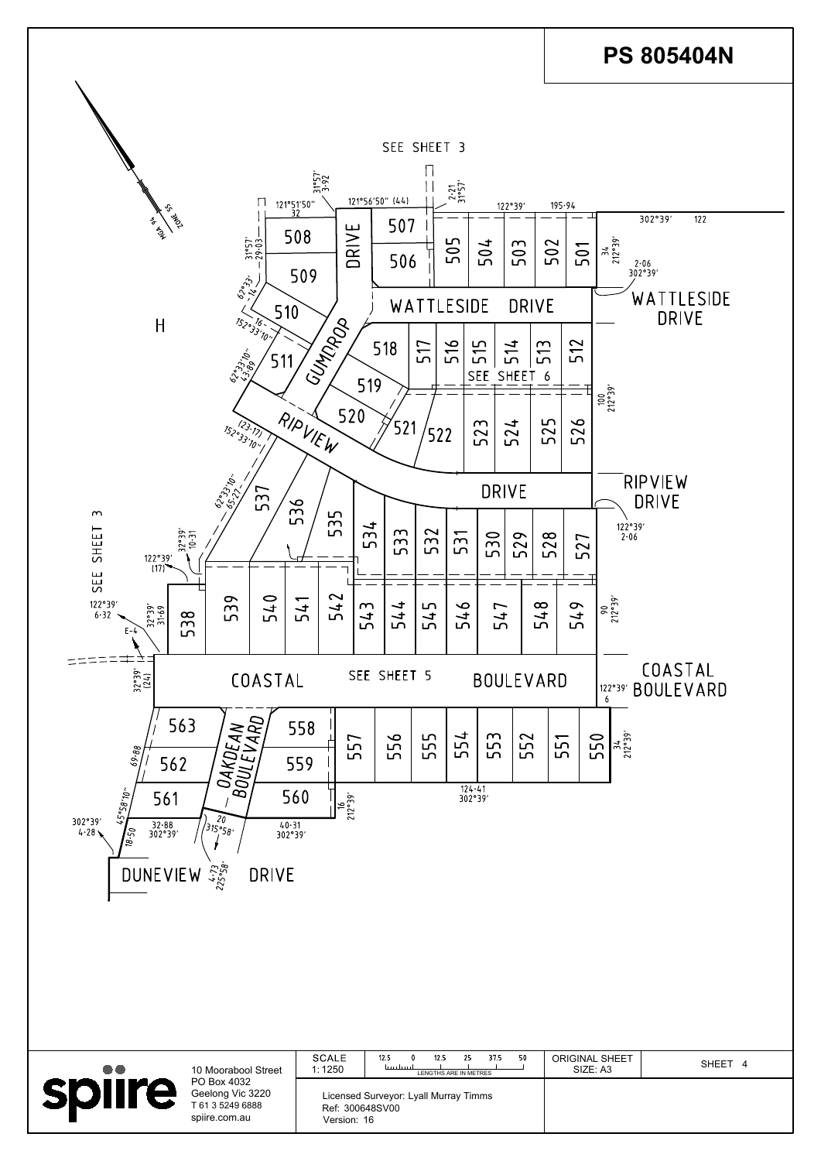| <b>. .</b> | 10 Moorabool Street                                                  | <b>SCALE</b><br>1:1250         | 50<br>12.5<br>37.5<br>12.5<br>ا بینبایین را<br>LENGTHS ARE IN METRES | <b>ORIGINAL SHEET</b><br>SIZE: A3 | SHEET 4 |
|------------|----------------------------------------------------------------------|--------------------------------|----------------------------------------------------------------------|-----------------------------------|---------|
|            | PO Box 4032<br>Geelong Vic 3220<br>T 61 3 5249 6888<br>spiire.com.au | Ref: 300648SV00<br>Version: 16 | Licensed Surveyor: Lyall Murray Timms                                |                                   |         |

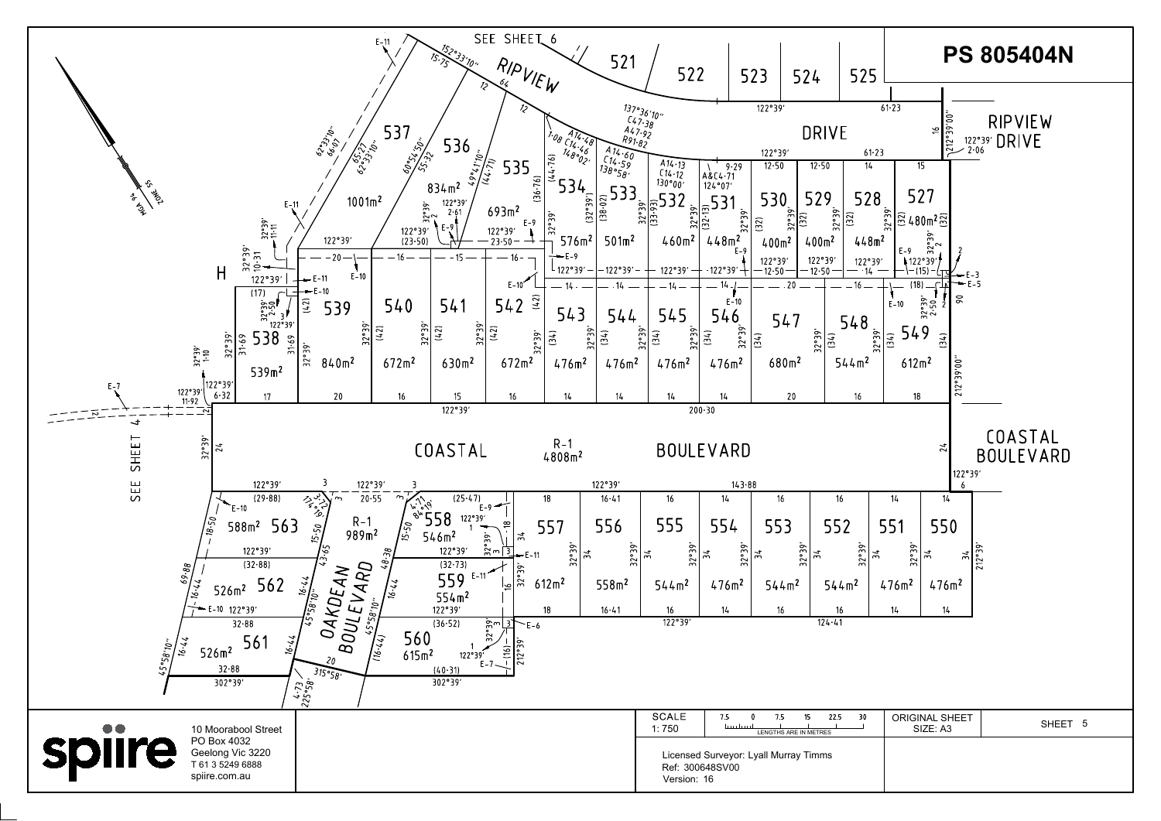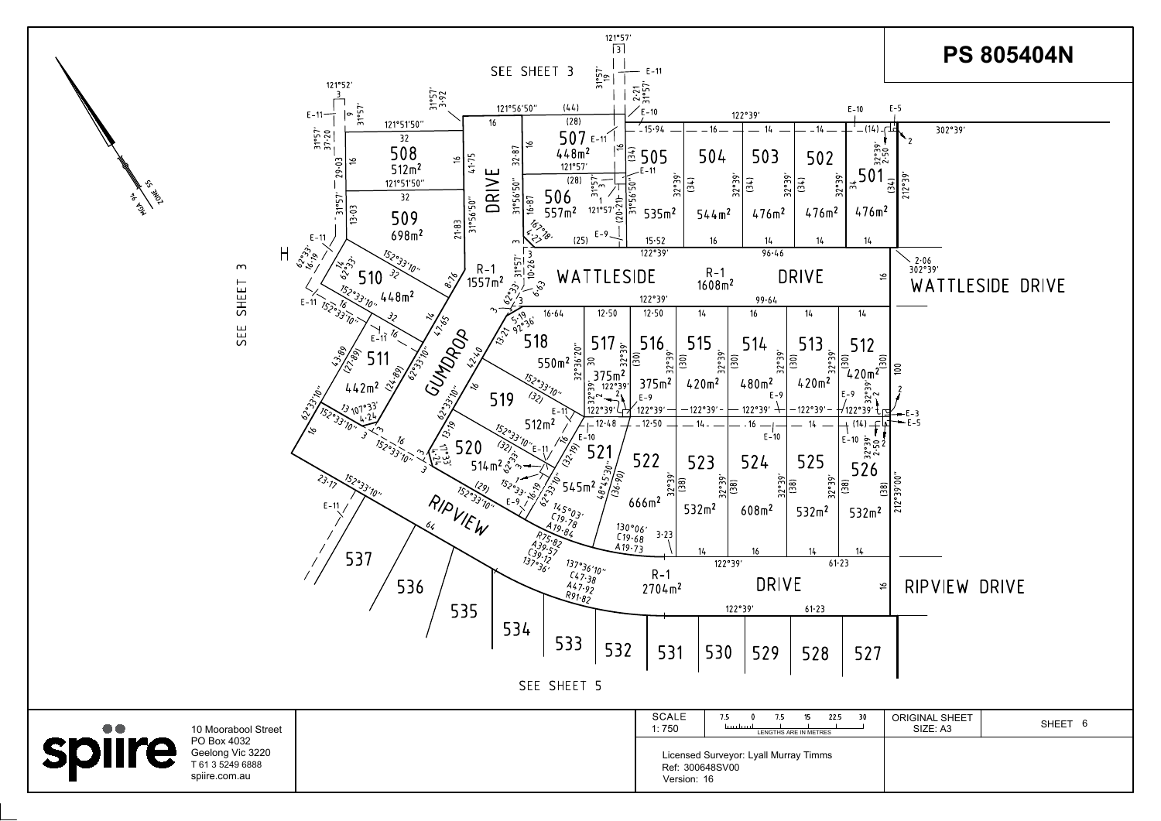